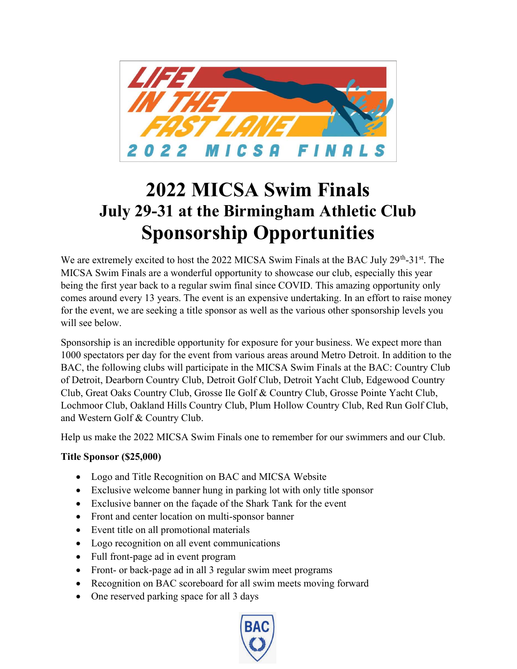

# 2022 MICSA Swim Finals July 29-31 at the Birmingham Athletic Club Sponsorship Opportunities

We are extremely excited to host the 2022 MICSA Swim Finals at the BAC July 29<sup>th</sup>-31<sup>st</sup>. The MICSA Swim Finals are a wonderful opportunity to showcase our club, especially this year being the first year back to a regular swim final since COVID. This amazing opportunity only comes around every 13 years. The event is an expensive undertaking. In an effort to raise money for the event, we are seeking a title sponsor as well as the various other sponsorship levels you will see below.

Sponsorship is an incredible opportunity for exposure for your business. We expect more than 1000 spectators per day for the event from various areas around Metro Detroit. In addition to the BAC, the following clubs will participate in the MICSA Swim Finals at the BAC: Country Club of Detroit, Dearborn Country Club, Detroit Golf Club, Detroit Yacht Club, Edgewood Country Club, Great Oaks Country Club, Grosse Ile Golf & Country Club, Grosse Pointe Yacht Club, Lochmoor Club, Oakland Hills Country Club, Plum Hollow Country Club, Red Run Golf Club, and Western Golf & Country Club.

Help us make the 2022 MICSA Swim Finals one to remember for our swimmers and our Club.

### Title Sponsor (\$25,000)

- Logo and Title Recognition on BAC and MICSA Website
- Exclusive welcome banner hung in parking lot with only title sponsor
- Exclusive banner on the façade of the Shark Tank for the event
- Front and center location on multi-sponsor banner
- Event title on all promotional materials
- Logo recognition on all event communications
- Full front-page ad in event program
- Front- or back-page ad in all 3 regular swim meet programs
- Recognition on BAC scoreboard for all swim meets moving forward
- One reserved parking space for all 3 days